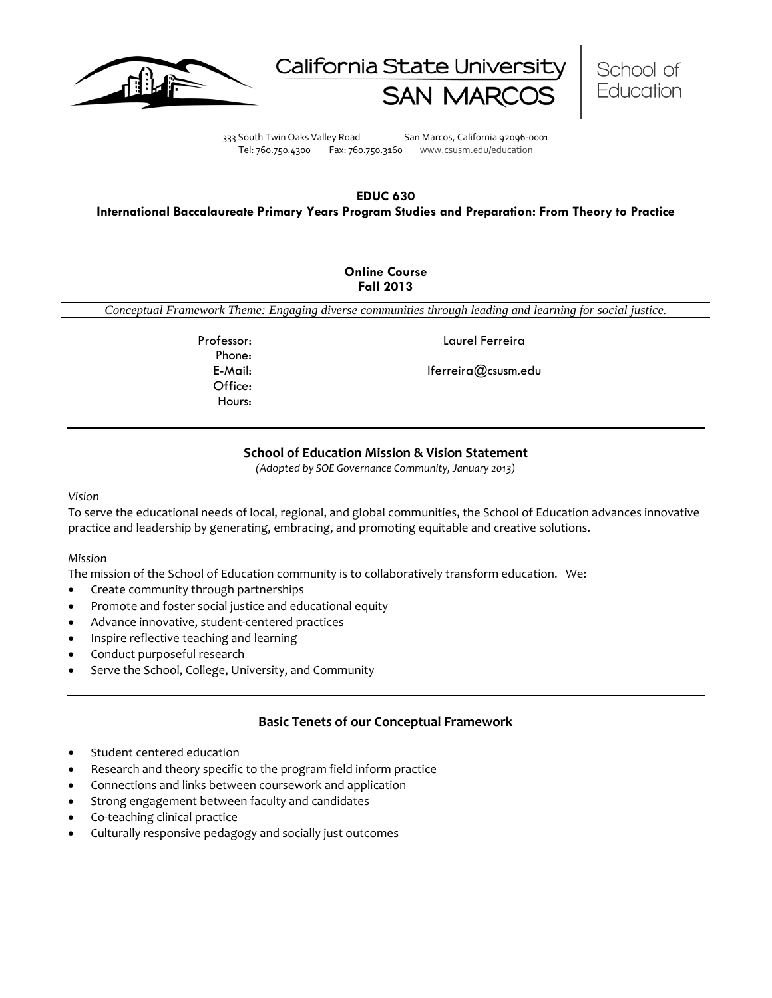





333 South Twin Oaks Valley Road San Marcos, California 92096-0001 Tel: 760.750.4300 Fax: 760.750.3160 www.csusm.edu/education

#### **EDUC 630 International Baccalaureate Primary Years Program Studies and Preparation: From Theory to Practice**

#### **Online Course Fall 2013**

*Conceptual Framework Theme: Engaging diverse communities through leading and learning for social justice.*

Phone: Office: Hours:

Professor: Laurel Ferreira

E-Mail: lferreira@csusm.edu

# **School of Education Mission & Vision Statement**

*(Adopted by SOE Governance Community, January 2013)*

#### *Vision*

To serve the educational needs of local, regional, and global communities, the School of Education advances innovative practice and leadership by generating, embracing, and promoting equitable and creative solutions.

#### *Mission*

The mission of the School of Education community is to collaboratively transform education. We:

- Create community through partnerships
- Promote and foster social justice and educational equity
- Advance innovative, student-centered practices
- Inspire reflective teaching and learning
- Conduct purposeful research
- Serve the School, College, University, and Community

# **Basic Tenets of our Conceptual Framework**

- Student centered education
- Research and theory specific to the program field inform practice
- Connections and links between coursework and application
- Strong engagement between faculty and candidates
- Co-teaching clinical practice
- Culturally responsive pedagogy and socially just outcomes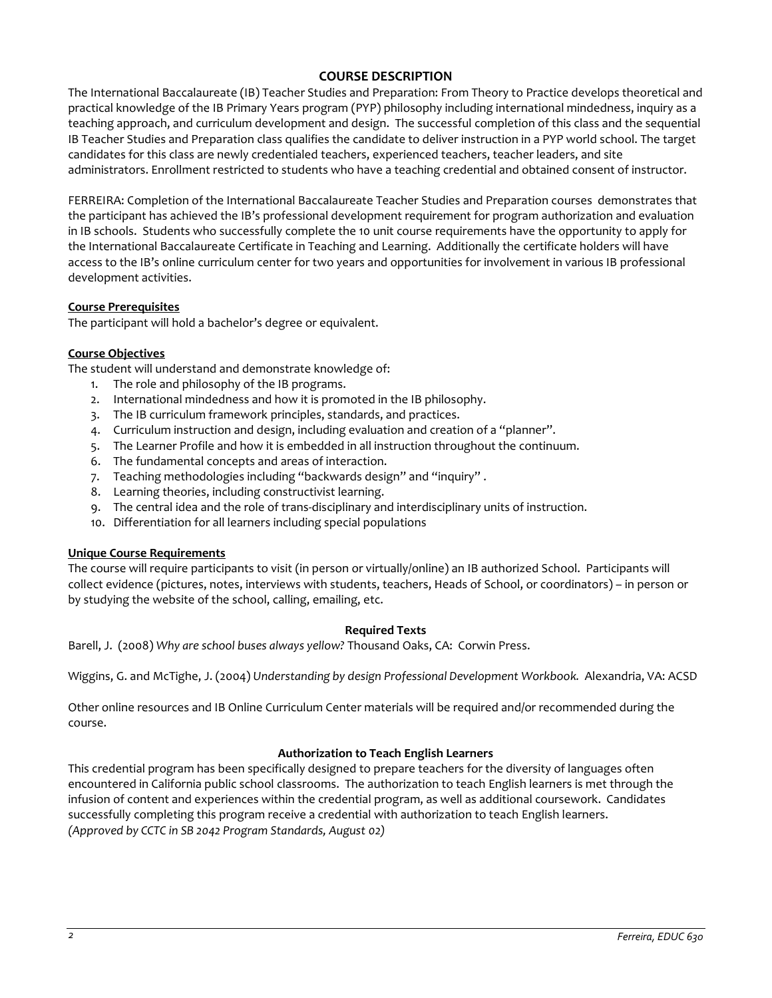# **COURSE DESCRIPTION**

The International Baccalaureate (IB) Teacher Studies and Preparation: From Theory to Practice develops theoretical and practical knowledge of the IB Primary Years program (PYP) philosophy including international mindedness, inquiry as a teaching approach, and curriculum development and design. The successful completion of this class and the sequential IB Teacher Studies and Preparation class qualifies the candidate to deliver instruction in a PYP world school. The target candidates for this class are newly credentialed teachers, experienced teachers, teacher leaders, and site administrators. Enrollment restricted to students who have a teaching credential and obtained consent of instructor.

FERREIRA: Completion of the International Baccalaureate Teacher Studies and Preparation courses demonstrates that the participant has achieved the IB's professional development requirement for program authorization and evaluation in IB schools. Students who successfully complete the 10 unit course requirements have the opportunity to apply for the International Baccalaureate Certificate in Teaching and Learning. Additionally the certificate holders will have access to the IB's online curriculum center for two years and opportunities for involvement in various IB professional development activities.

### **Course Prerequisites**

The participant will hold a bachelor's degree or equivalent.

### **Course Objectives**

The student will understand and demonstrate knowledge of:

- 1. The role and philosophy of the IB programs.
- 2. International mindedness and how it is promoted in the IB philosophy.
- 3. The IB curriculum framework principles, standards, and practices.
- 4. Curriculum instruction and design, including evaluation and creation of a "planner".
- 5. The Learner Profile and how it is embedded in all instruction throughout the continuum.
- 6. The fundamental concepts and areas of interaction.
- 7. Teaching methodologies including "backwards design" and "inquiry" .
- 8. Learning theories, including constructivist learning.
- 9. The central idea and the role of trans-disciplinary and interdisciplinary units of instruction.
- 10. Differentiation for all learners including special populations

#### **Unique Course Requirements**

The course will require participants to visit (in person or virtually/online) an IB authorized School. Participants will collect evidence (pictures, notes, interviews with students, teachers, Heads of School, or coordinators) – in person or by studying the website of the school, calling, emailing, etc.

#### **Required Texts**

Barell, J. (2008) *Why are school buses always yellow?* Thousand Oaks, CA: Corwin Press.

Wiggins, G. and McTighe, J. (2004) *Understanding by design Professional Development Workbook.* Alexandria, VA: ACSD

Other online resources and IB Online Curriculum Center materials will be required and/or recommended during the course.

#### **Authorization to Teach English Learners**

This credential program has been specifically designed to prepare teachers for the diversity of languages often encountered in California public school classrooms. The authorization to teach English learners is met through the infusion of content and experiences within the credential program, as well as additional coursework. Candidates successfully completing this program receive a credential with authorization to teach English learners. *(Approved by CCTC in SB 2042 Program Standards, August 02)*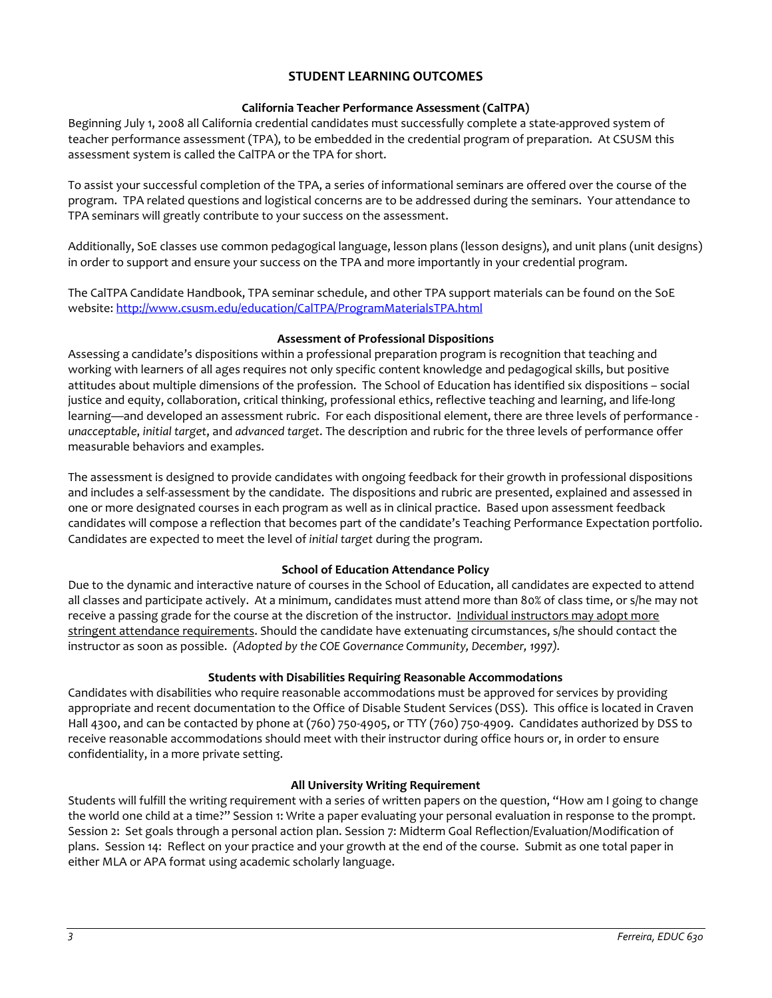# **STUDENT LEARNING OUTCOMES**

### **California Teacher Performance Assessment (CalTPA)**

Beginning July 1, 2008 all California credential candidates must successfully complete a state-approved system of teacher performance assessment (TPA), to be embedded in the credential program of preparation. At CSUSM this assessment system is called the CalTPA or the TPA for short.

To assist your successful completion of the TPA, a series of informational seminars are offered over the course of the program. TPA related questions and logistical concerns are to be addressed during the seminars. Your attendance to TPA seminars will greatly contribute to your success on the assessment.

Additionally, SoE classes use common pedagogical language, lesson plans (lesson designs), and unit plans (unit designs) in order to support and ensure your success on the TPA and more importantly in your credential program.

The CalTPA Candidate Handbook, TPA seminar schedule, and other TPA support materials can be found on the SoE website: <http://www.csusm.edu/education/CalTPA/ProgramMaterialsTPA.html>

### **Assessment of Professional Dispositions**

Assessing a candidate's dispositions within a professional preparation program is recognition that teaching and working with learners of all ages requires not only specific content knowledge and pedagogical skills, but positive attitudes about multiple dimensions of the profession. The School of Education has identified six dispositions – social justice and equity, collaboration, critical thinking, professional ethics, reflective teaching and learning, and life-long learning—and developed an assessment rubric. For each dispositional element, there are three levels of performance *unacceptable*, *initial target*, and *advanced target*. The description and rubric for the three levels of performance offer measurable behaviors and examples.

The assessment is designed to provide candidates with ongoing feedback for their growth in professional dispositions and includes a self-assessment by the candidate. The dispositions and rubric are presented, explained and assessed in one or more designated courses in each program as well as in clinical practice. Based upon assessment feedback candidates will compose a reflection that becomes part of the candidate's Teaching Performance Expectation portfolio. Candidates are expected to meet the level of *initial target* during the program.

# **School of Education Attendance Policy**

Due to the dynamic and interactive nature of courses in the School of Education, all candidates are expected to attend all classes and participate actively. At a minimum, candidates must attend more than 80% of class time, or s/he may not receive a passing grade for the course at the discretion of the instructor. Individual instructors may adopt more stringent attendance requirements. Should the candidate have extenuating circumstances, s/he should contact the instructor as soon as possible. *(Adopted by the COE Governance Community, December, 1997).*

# **Students with Disabilities Requiring Reasonable Accommodations**

Candidates with disabilities who require reasonable accommodations must be approved for services by providing appropriate and recent documentation to the Office of Disable Student Services (DSS). This office is located in Craven Hall 4300, and can be contacted by phone at (760) 750-4905, or TTY (760) 750-4909. Candidates authorized by DSS to receive reasonable accommodations should meet with their instructor during office hours or, in order to ensure confidentiality, in a more private setting.

#### **All University Writing Requirement**

Students will fulfill the writing requirement with a series of written papers on the question, "How am I going to change the world one child at a time?" Session 1: Write a paper evaluating your personal evaluation in response to the prompt. Session 2: Set goals through a personal action plan. Session 7: Midterm Goal Reflection/Evaluation/Modification of plans. Session 14: Reflect on your practice and your growth at the end of the course. Submit as one total paper in either MLA or APA format using academic scholarly language.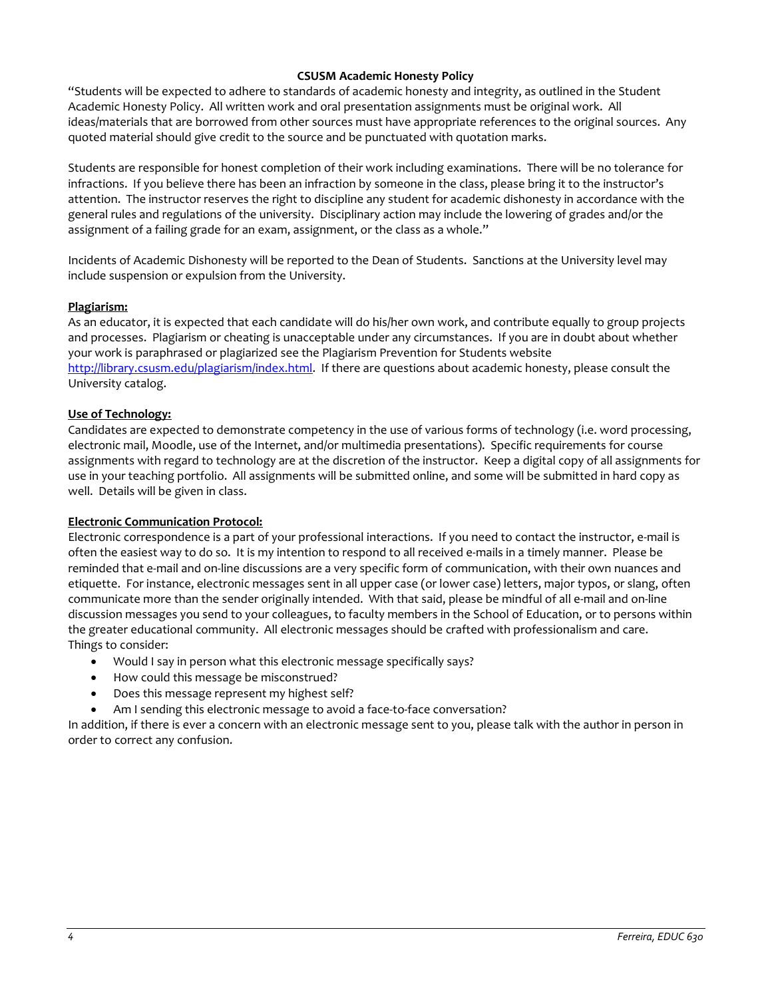### **CSUSM Academic Honesty Policy**

"Students will be expected to adhere to standards of academic honesty and integrity, as outlined in the Student Academic Honesty Policy. All written work and oral presentation assignments must be original work. All ideas/materials that are borrowed from other sources must have appropriate references to the original sources. Any quoted material should give credit to the source and be punctuated with quotation marks.

Students are responsible for honest completion of their work including examinations. There will be no tolerance for infractions. If you believe there has been an infraction by someone in the class, please bring it to the instructor's attention. The instructor reserves the right to discipline any student for academic dishonesty in accordance with the general rules and regulations of the university. Disciplinary action may include the lowering of grades and/or the assignment of a failing grade for an exam, assignment, or the class as a whole."

Incidents of Academic Dishonesty will be reported to the Dean of Students. Sanctions at the University level may include suspension or expulsion from the University.

#### **Plagiarism:**

As an educator, it is expected that each candidate will do his/her own work, and contribute equally to group projects and processes. Plagiarism or cheating is unacceptable under any circumstances. If you are in doubt about whether your work is paraphrased or plagiarized see the Plagiarism Prevention for Students website [http://library.csusm.edu/plagiarism/index.html.](http://library.csusm.edu/plagiarism/index.html) If there are questions about academic honesty, please consult the University catalog.

#### **Use of Technology:**

Candidates are expected to demonstrate competency in the use of various forms of technology (i.e. word processing, electronic mail, Moodle, use of the Internet, and/or multimedia presentations). Specific requirements for course assignments with regard to technology are at the discretion of the instructor. Keep a digital copy of all assignments for use in your teaching portfolio. All assignments will be submitted online, and some will be submitted in hard copy as well. Details will be given in class.

#### **Electronic Communication Protocol:**

Electronic correspondence is a part of your professional interactions. If you need to contact the instructor, e-mail is often the easiest way to do so. It is my intention to respond to all received e-mails in a timely manner. Please be reminded that e-mail and on-line discussions are a very specific form of communication, with their own nuances and etiquette. For instance, electronic messages sent in all upper case (or lower case) letters, major typos, or slang, often communicate more than the sender originally intended. With that said, please be mindful of all e-mail and on-line discussion messages you send to your colleagues, to faculty members in the School of Education, or to persons within the greater educational community. All electronic messages should be crafted with professionalism and care. Things to consider:

- Would I say in person what this electronic message specifically says?
- How could this message be misconstrued?
- Does this message represent my highest self?
- Am I sending this electronic message to avoid a face-to-face conversation?

In addition, if there is ever a concern with an electronic message sent to you, please talk with the author in person in order to correct any confusion.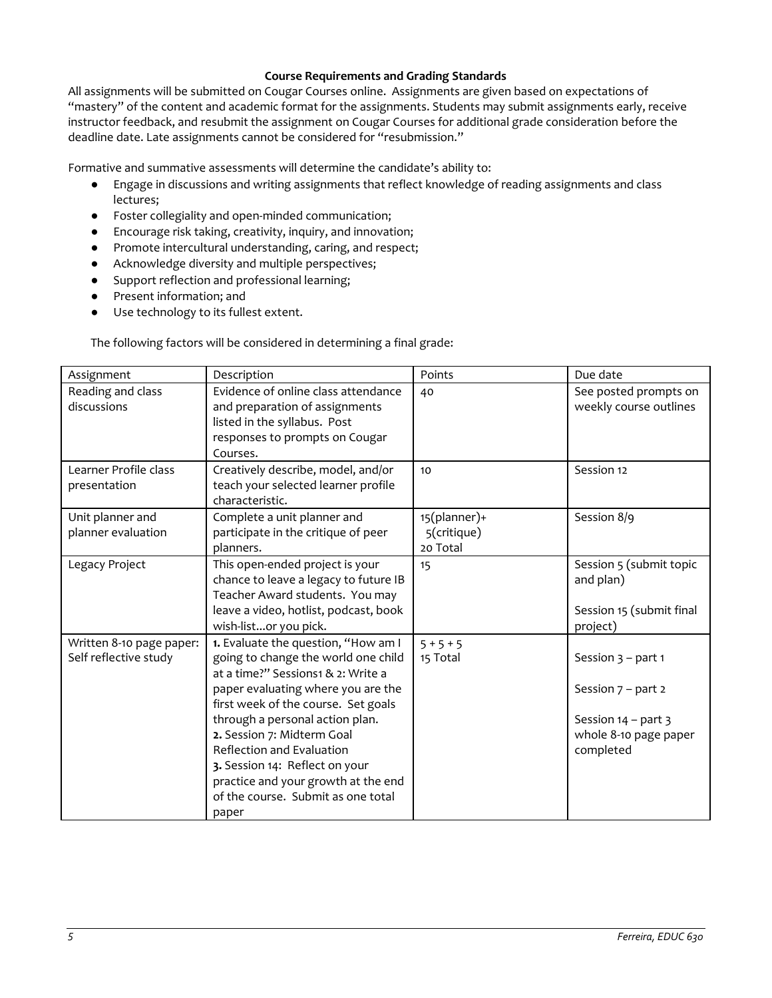### **Course Requirements and Grading Standards**

All assignments will be submitted on Cougar Courses online. Assignments are given based on expectations of "mastery" of the content and academic format for the assignments. Students may submit assignments early, receive instructor feedback, and resubmit the assignment on Cougar Courses for additional grade consideration before the deadline date. Late assignments cannot be considered for "resubmission."

Formative and summative assessments will determine the candidate's ability to:

- Engage in discussions and writing assignments that reflect knowledge of reading assignments and class lectures;
- Foster collegiality and open-minded communication;
- Encourage risk taking, creativity, inquiry, and innovation;
- Promote intercultural understanding, caring, and respect;
- Acknowledge diversity and multiple perspectives;
- Support reflection and professional learning;
- Present information; and
- Use technology to its fullest extent.

The following factors will be considered in determining a final grade:

| Assignment                                        | Description                                                                                                                                                                                                                                                                                                                                                                                                         | Points                                  | Due date                                                                                                    |
|---------------------------------------------------|---------------------------------------------------------------------------------------------------------------------------------------------------------------------------------------------------------------------------------------------------------------------------------------------------------------------------------------------------------------------------------------------------------------------|-----------------------------------------|-------------------------------------------------------------------------------------------------------------|
| Reading and class<br>discussions                  | Evidence of online class attendance<br>and preparation of assignments<br>listed in the syllabus. Post<br>responses to prompts on Cougar<br>Courses.                                                                                                                                                                                                                                                                 | 40                                      | See posted prompts on<br>weekly course outlines                                                             |
| Learner Profile class<br>presentation             | Creatively describe, model, and/or<br>teach your selected learner profile<br>characteristic.                                                                                                                                                                                                                                                                                                                        | 10                                      | Session 12                                                                                                  |
| Unit planner and<br>planner evaluation            | Complete a unit planner and<br>participate in the critique of peer<br>planners.                                                                                                                                                                                                                                                                                                                                     | 15(planner)+<br>5(critique)<br>20 Total | Session 8/9                                                                                                 |
| Legacy Project                                    | This open-ended project is your<br>chance to leave a legacy to future IB<br>Teacher Award students. You may<br>leave a video, hotlist, podcast, book<br>wish-listor you pick.                                                                                                                                                                                                                                       | 15                                      | Session 5 (submit topic<br>and plan)<br>Session 15 (submit final<br>project)                                |
| Written 8-10 page paper:<br>Self reflective study | 1. Evaluate the question, "How am I<br>going to change the world one child<br>at a time?" Sessions1 & 2: Write a<br>paper evaluating where you are the<br>first week of the course. Set goals<br>through a personal action plan.<br>2. Session 7: Midterm Goal<br>Reflection and Evaluation<br>3. Session 14: Reflect on your<br>practice and your growth at the end<br>of the course. Submit as one total<br>paper | $5 + 5 + 5$<br>15 Total                 | Session $3$ – part 1<br>Session $7$ – part 2<br>Session $14$ – part 3<br>whole 8-10 page paper<br>completed |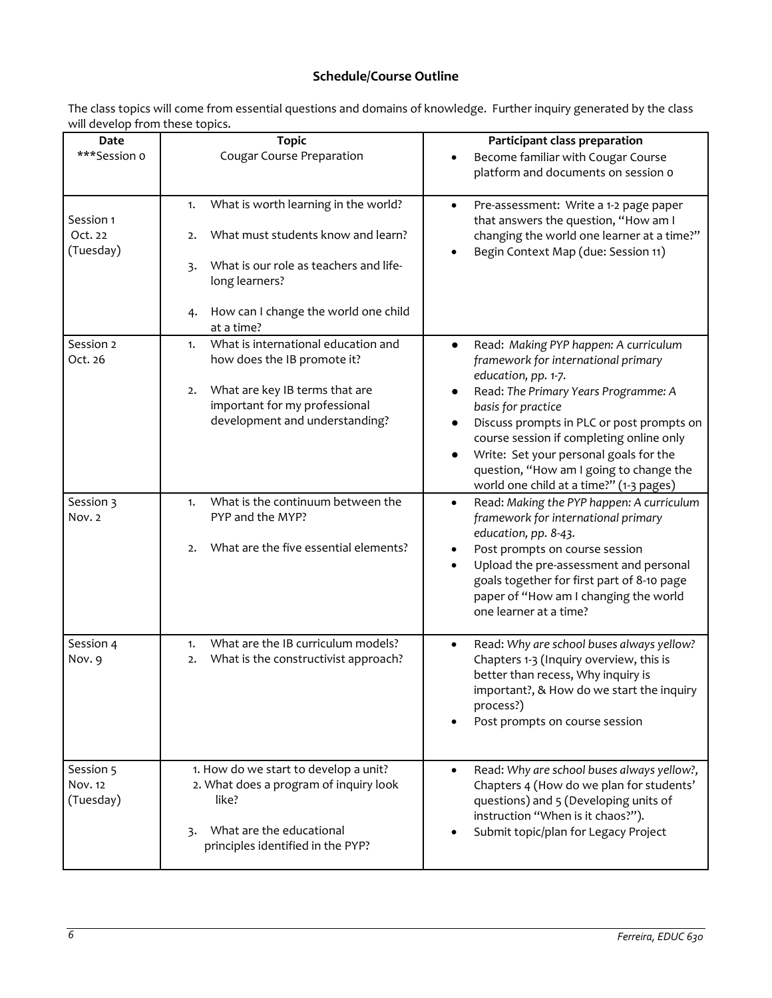# **Schedule/Course Outline**

The class topics will come from essential questions and domains of knowledge. Further inquiry generated by the class will develop from these topics.

| Date<br>***Session o              | <b>Topic</b><br><b>Cougar Course Preparation</b>                                                                                                                | Participant class preparation<br>Become familiar with Cougar Course                                                                                                                                                                                                                                                                          |
|-----------------------------------|-----------------------------------------------------------------------------------------------------------------------------------------------------------------|----------------------------------------------------------------------------------------------------------------------------------------------------------------------------------------------------------------------------------------------------------------------------------------------------------------------------------------------|
|                                   |                                                                                                                                                                 | platform and documents on session o                                                                                                                                                                                                                                                                                                          |
| Session 1<br>Oct. 22<br>(Tuesday) | What is worth learning in the world?<br>1.<br>What must students know and learn?<br>2.                                                                          | Pre-assessment: Write a 1-2 page paper<br>$\bullet$<br>that answers the question, "How am I<br>changing the world one learner at a time?"                                                                                                                                                                                                    |
|                                   | What is our role as teachers and life-<br>3.<br>long learners?                                                                                                  | Begin Context Map (due: Session 11)                                                                                                                                                                                                                                                                                                          |
|                                   | How can I change the world one child<br>4.<br>at a time?                                                                                                        |                                                                                                                                                                                                                                                                                                                                              |
| Session 2<br>Oct. 26              | What is international education and<br>1.<br>how does the IB promote it?                                                                                        | Read: Making PYP happen: A curriculum<br>$\bullet$<br>framework for international primary<br>education, pp. 1-7.                                                                                                                                                                                                                             |
|                                   | What are key IB terms that are<br>2.<br>important for my professional<br>development and understanding?                                                         | Read: The Primary Years Programme: A<br>basis for practice<br>Discuss prompts in PLC or post prompts on<br>$\bullet$<br>course session if completing online only<br>Write: Set your personal goals for the<br>question, "How am I going to change the<br>world one child at a time?" (1-3 pages)                                             |
| Session 3<br>Nov. 2               | What is the continuum between the<br>1.<br>PYP and the MYP?<br>What are the five essential elements?<br>2.                                                      | Read: Making the PYP happen: A curriculum<br>$\bullet$<br>framework for international primary<br>education, pp. 8-43.<br>Post prompts on course session<br>$\bullet$<br>Upload the pre-assessment and personal<br>$\bullet$<br>goals together for first part of 8-10 page<br>paper of "How am I changing the world<br>one learner at a time? |
| Session 4<br>Nov. 9               | What are the IB curriculum models?<br>1.<br>What is the constructivist approach?<br>2.                                                                          | Read: Why are school buses always yellow?<br>$\bullet$<br>Chapters 1-3 (Inquiry overview, this is<br>better than recess, Why inquiry is<br>important?, & How do we start the inquiry<br>process?)<br>Post prompts on course session                                                                                                          |
| Session 5<br>Nov. 12<br>(Tuesday) | 1. How do we start to develop a unit?<br>2. What does a program of inquiry look<br>like?<br>What are the educational<br>3.<br>principles identified in the PYP? | Read: Why are school buses always yellow?,<br>Chapters 4 (How do we plan for students'<br>questions) and 5 (Developing units of<br>instruction "When is it chaos?").<br>Submit topic/plan for Legacy Project                                                                                                                                 |
|                                   |                                                                                                                                                                 |                                                                                                                                                                                                                                                                                                                                              |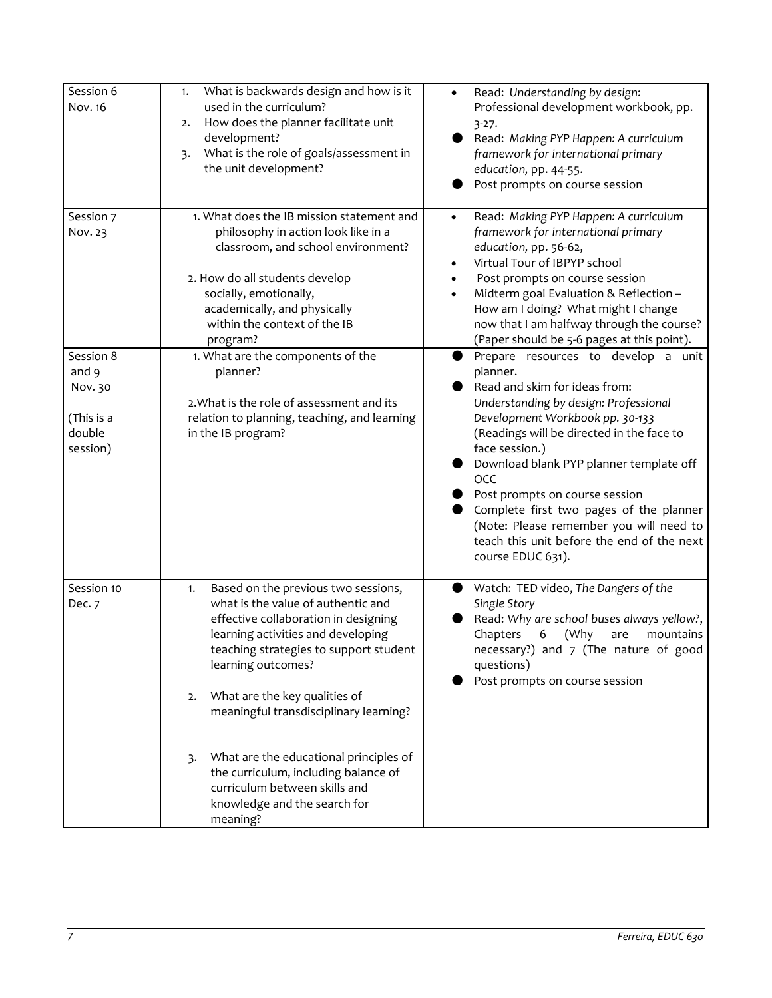| Session 6<br>Nov. 16                                              | What is backwards design and how is it<br>1.<br>used in the curriculum?<br>How does the planner facilitate unit<br>2.<br>development?<br>What is the role of goals/assessment in<br>3.<br>the unit development?                                                                                                                                                                                                                                                                     | Read: Understanding by design:<br>$\bullet$<br>Professional development workbook, pp.<br>$3-27.$<br>Read: Making PYP Happen: A curriculum<br>framework for international primary<br>education, pp. 44-55.<br>Post prompts on course session                                                                                                                                                                                                                                     |
|-------------------------------------------------------------------|-------------------------------------------------------------------------------------------------------------------------------------------------------------------------------------------------------------------------------------------------------------------------------------------------------------------------------------------------------------------------------------------------------------------------------------------------------------------------------------|---------------------------------------------------------------------------------------------------------------------------------------------------------------------------------------------------------------------------------------------------------------------------------------------------------------------------------------------------------------------------------------------------------------------------------------------------------------------------------|
| Session 7<br>Nov. 23                                              | 1. What does the IB mission statement and<br>philosophy in action look like in a<br>classroom, and school environment?<br>2. How do all students develop<br>socially, emotionally,<br>academically, and physically<br>within the context of the IB<br>program?                                                                                                                                                                                                                      | Read: Making PYP Happen: A curriculum<br>$\bullet$<br>framework for international primary<br>education, pp. 56-62,<br>Virtual Tour of IBPYP school<br>$\bullet$<br>Post prompts on course session<br>$\bullet$<br>Midterm goal Evaluation & Reflection -<br>$\bullet$<br>How am I doing? What might I change<br>now that I am halfway through the course?<br>(Paper should be 5-6 pages at this point).                                                                         |
| Session 8<br>and 9<br>Nov. 30<br>(This is a<br>double<br>session) | 1. What are the components of the<br>planner?<br>2. What is the role of assessment and its<br>relation to planning, teaching, and learning<br>in the IB program?                                                                                                                                                                                                                                                                                                                    | Prepare resources to develop a unit<br>planner.<br>Read and skim for ideas from:<br>Understanding by design: Professional<br>Development Workbook pp. 30-133<br>(Readings will be directed in the face to<br>face session.)<br>Download blank PYP planner template off<br><b>OCC</b><br>Post prompts on course session<br>Complete first two pages of the planner<br>(Note: Please remember you will need to<br>teach this unit before the end of the next<br>course EDUC 631). |
| Session 10<br>Dec. 7                                              | Based on the previous two sessions,<br>1.<br>what is the value of authentic and<br>effective collaboration in designing<br>learning activities and developing<br>teaching strategies to support student<br>learning outcomes?<br>What are the key qualities of<br>2.<br>meaningful transdisciplinary learning?<br>What are the educational principles of<br>3.<br>the curriculum, including balance of<br>curriculum between skills and<br>knowledge and the search for<br>meaning? | Watch: TED video, The Dangers of the<br>Single Story<br>Read: Why are school buses always yellow?,<br>Chapters<br>6<br>(Why<br>mountains<br>are<br>necessary?) and 7 (The nature of good<br>questions)<br>Post prompts on course session                                                                                                                                                                                                                                        |